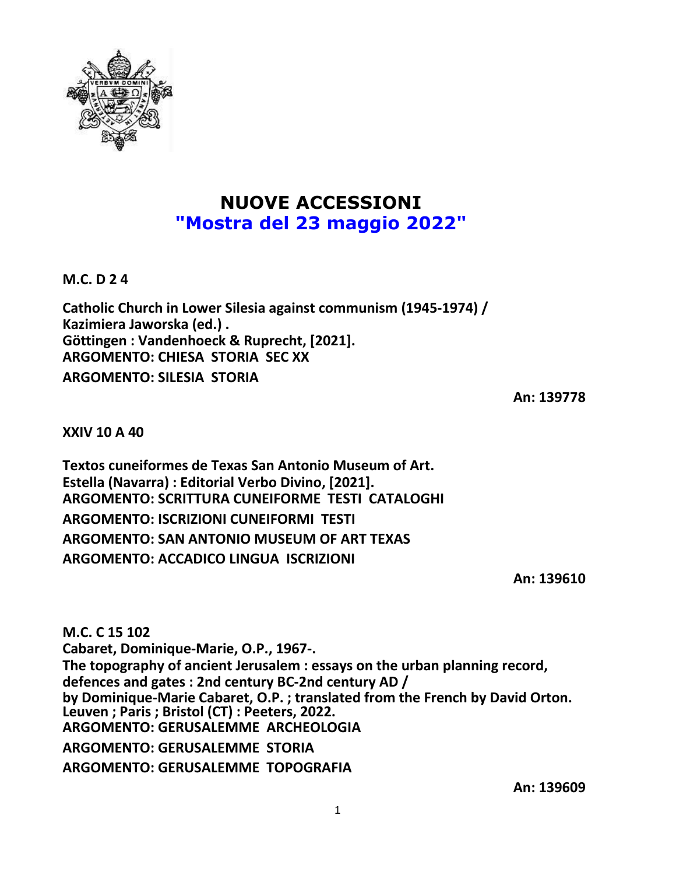

## **NUOVE ACCESSIONI "Mostra del 23 maggio 2022"**

**M.C. D 2 4**

**Catholic Church in Lower Silesia against communism (1945-1974) / Kazimiera Jaworska (ed.) . Göttingen : Vandenhoeck & Ruprecht, [2021]. ARGOMENTO: CHIESA STORIA SEC XX ARGOMENTO: SILESIA STORIA**

**An: 139778**

**XXIV 10 A 40**

**Textos cuneiformes de Texas San Antonio Museum of Art. Estella (Navarra) : Editorial Verbo Divino, [2021]. ARGOMENTO: SCRITTURA CUNEIFORME TESTI CATALOGHI ARGOMENTO: ISCRIZIONI CUNEIFORMI TESTI ARGOMENTO: SAN ANTONIO MUSEUM OF ART TEXAS ARGOMENTO: ACCADICO LINGUA ISCRIZIONI**

**An: 139610**

**M.C. C 15 102 Cabaret, Dominique-Marie, O.P., 1967-. The topography of ancient Jerusalem : essays on the urban planning record, defences and gates : 2nd century BC-2nd century AD / by Dominique-Marie Cabaret, O.P. ; translated from the French by David Orton. Leuven ; Paris ; Bristol (CT) : Peeters, 2022. ARGOMENTO: GERUSALEMME ARCHEOLOGIA ARGOMENTO: GERUSALEMME STORIA ARGOMENTO: GERUSALEMME TOPOGRAFIA**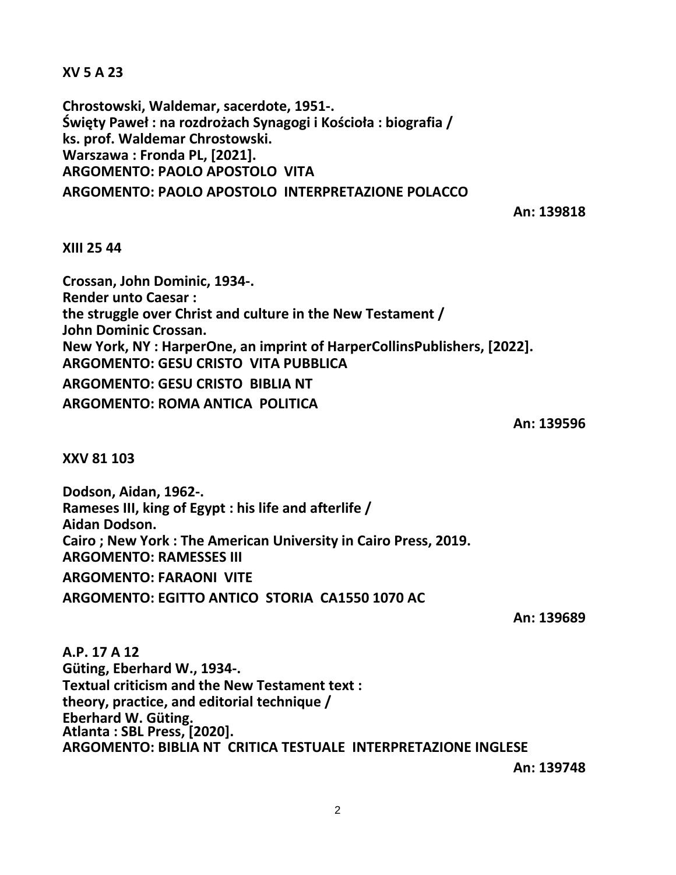**XV 5 A 23**

**Chrostowski, Waldemar, sacerdote, 1951-. Święty Paweł : na rozdrożach Synagogi i Kościoła : biografia / ks. prof. Waldemar Chrostowski. Warszawa : Fronda PL, [2021]. ARGOMENTO: PAOLO APOSTOLO VITA ARGOMENTO: PAOLO APOSTOLO INTERPRETAZIONE POLACCO**

**An: 139818**

## **XIII 25 44**

**Crossan, John Dominic, 1934-. Render unto Caesar : the struggle over Christ and culture in the New Testament / John Dominic Crossan. New York, NY : HarperOne, an imprint of HarperCollinsPublishers, [2022]. ARGOMENTO: GESU CRISTO VITA PUBBLICA ARGOMENTO: GESU CRISTO BIBLIA NT ARGOMENTO: ROMA ANTICA POLITICA**

**An: 139596**

**XXV 81 103**

**Dodson, Aidan, 1962-. Rameses III, king of Egypt : his life and afterlife / Aidan Dodson. Cairo ; New York : The American University in Cairo Press, 2019. ARGOMENTO: RAMESSES III ARGOMENTO: FARAONI VITE**

**ARGOMENTO: EGITTO ANTICO STORIA CA1550 1070 AC**

**An: 139689**

**A.P. 17 A 12 Güting, Eberhard W., 1934-. Textual criticism and the New Testament text : theory, practice, and editorial technique / Eberhard W. Güting. Atlanta : SBL Press, [2020]. ARGOMENTO: BIBLIA NT CRITICA TESTUALE INTERPRETAZIONE INGLESE**

**An: 139748**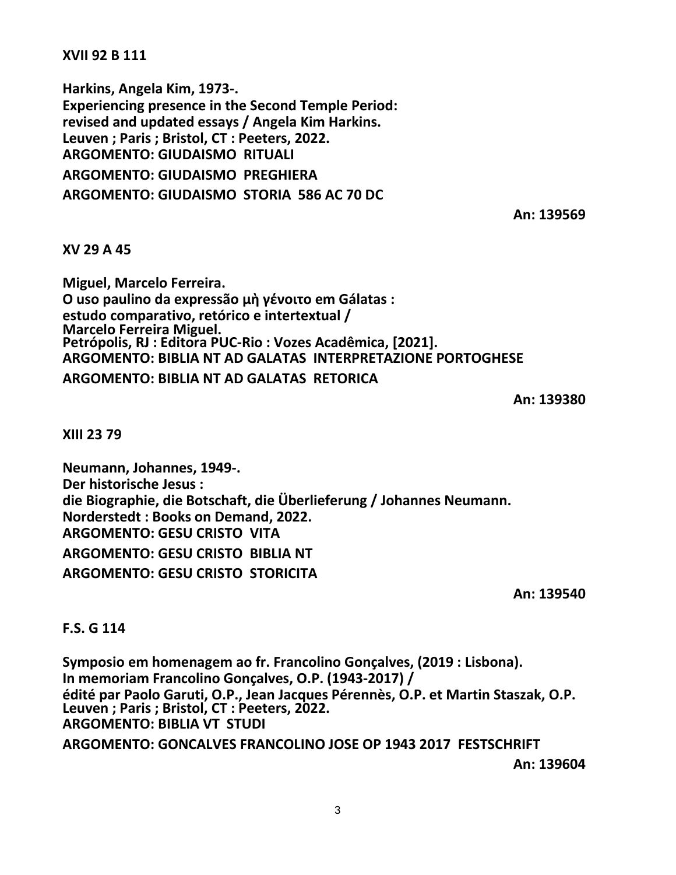**XVII 92 B 111**

**Harkins, Angela Kim, 1973-. Experiencing presence in the Second Temple Period: revised and updated essays / Angela Kim Harkins. Leuven ; Paris ; Bristol, CT : Peeters, 2022. ARGOMENTO: GIUDAISMO RITUALI ARGOMENTO: GIUDAISMO PREGHIERA ARGOMENTO: GIUDAISMO STORIA 586 AC 70 DC**

**An: 139569**

**XV 29 A 45**

**Miguel, Marcelo Ferreira. O uso paulino da expressão μὴ γένοιτο em Gálatas : estudo comparativo, retórico e intertextual / Marcelo Ferreira Miguel. Petrópolis, RJ : Editora PUC-Rio : Vozes Acadêmica, [2021]. ARGOMENTO: BIBLIA NT AD GALATAS INTERPRETAZIONE PORTOGHESE ARGOMENTO: BIBLIA NT AD GALATAS RETORICA**

**An: 139380**

**XIII 23 79**

**Neumann, Johannes, 1949-. Der historische Jesus : die Biographie, die Botschaft, die Überlieferung / Johannes Neumann. Norderstedt : Books on Demand, 2022. ARGOMENTO: GESU CRISTO VITA ARGOMENTO: GESU CRISTO BIBLIA NT ARGOMENTO: GESU CRISTO STORICITA**

**An: 139540**

## **F.S. G 114**

**Symposio em homenagem ao fr. Francolino Gonçalves, (2019 : Lisbona). In memoriam Francolino Gonçalves, O.P. (1943-2017) / édité par Paolo Garuti, O.P., Jean Jacques Pérennès, O.P. et Martin Staszak, O.P. Leuven ; Paris ; Bristol, CT : Peeters, 2022. ARGOMENTO: BIBLIA VT STUDI ARGOMENTO: GONCALVES FRANCOLINO JOSE OP 1943 2017 FESTSCHRIFT**

**An: 139604**